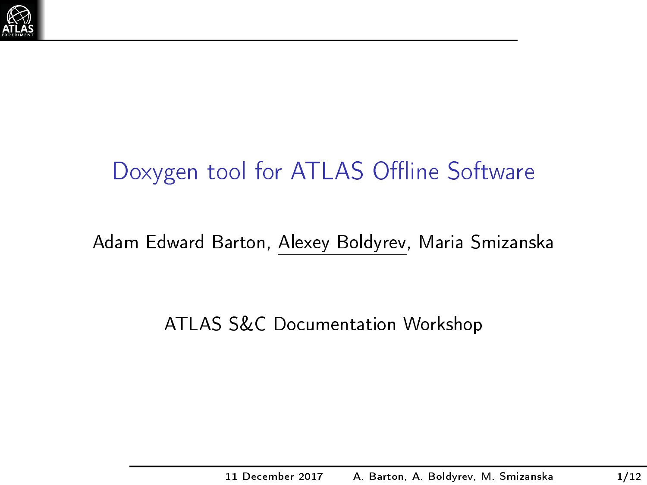

### Doxygen tool for ATLAS Offline Software

#### Adam Edward Barton, Alexey Boldyrev, Maria Smizanska

ATLAS S&C Documentation Workshop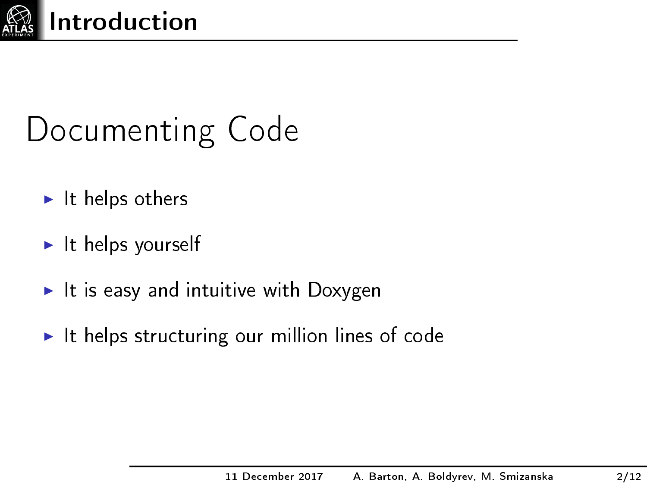

## Documenting Code

- $\blacktriangleright$  It helps others
- $\blacktriangleright$  It helps yourself
- It is easy and intuitive with Doxygen
- $\blacktriangleright$  It helps structuring our million lines of code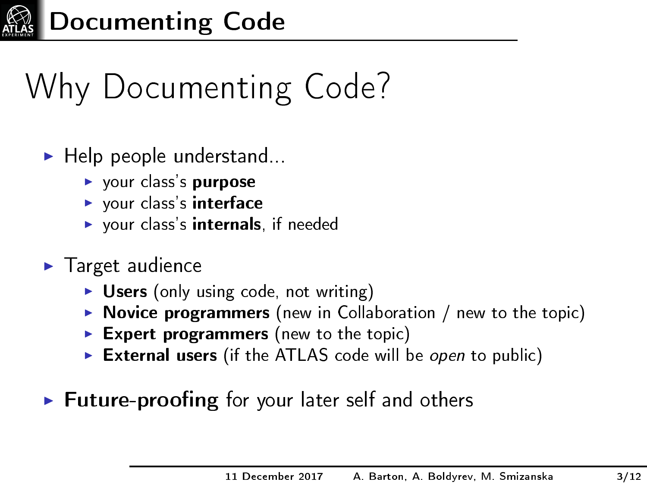

# Why Documenting Code?

- $\blacktriangleright$  Help people understand...
	- $\blacktriangleright$  your class's purpose
	- $\blacktriangleright$  your class's interface
	- $\triangleright$  your class's internals, if needed
- $\blacktriangleright$  Target audience
	- $\triangleright$  Users (only using code, not writing)
	- $\triangleright$  Novice programmers (new in Collaboration / new to the topic)
	- Expert programmers (new to the topic)
	- External users (if the ATLAS code will be open to public)
- $\triangleright$  Future-proofing for your later self and others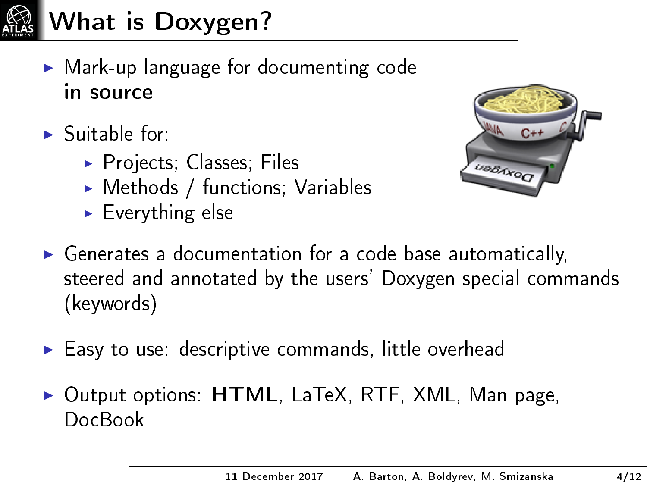

What is Doxygen?

- $\triangleright$  Mark-up language for documenting code in source
- $\blacktriangleright$  Suitable for:
	- $\triangleright$  Projects; Classes; Files
	- $\blacktriangleright$  Methods / functions; Variables
	- $\blacktriangleright$  Everything else



- $\triangleright$  Generates a documentation for a code base automatically, steered and annotated by the users' Doxygen special commands (keywords)
- $\blacktriangleright$  Easy to use: descriptive commands, little overhead
- $\triangleright$  Output options:  $HTML$ , LaTeX, RTF, XML, Man page, DocBook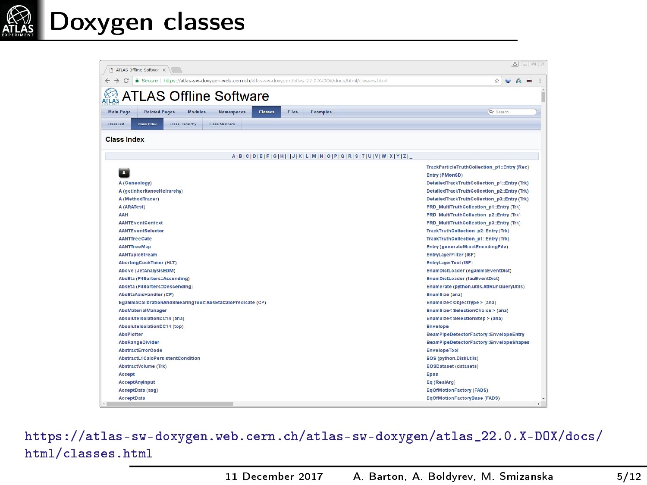

#### Doxygen classes

| $8 - 8x$<br>ATLAS Offine Software x                                                                                                                                                                                                                                                                                                                                                 |                                                                                                                                                                                                                                                                                                                                                                                                                                                                                                                                                                                                                                                                                    |  |  |  |  |  |  |  |  |  |  |
|-------------------------------------------------------------------------------------------------------------------------------------------------------------------------------------------------------------------------------------------------------------------------------------------------------------------------------------------------------------------------------------|------------------------------------------------------------------------------------------------------------------------------------------------------------------------------------------------------------------------------------------------------------------------------------------------------------------------------------------------------------------------------------------------------------------------------------------------------------------------------------------------------------------------------------------------------------------------------------------------------------------------------------------------------------------------------------|--|--|--|--|--|--|--|--|--|--|
| Secure   https://atlas-sw-doxygen.web.cem.ch/atlas-sw-doxygen/atlas_22.0.X-DOX/docs/html/classes.html                                                                                                                                                                                                                                                                               | ☆                                                                                                                                                                                                                                                                                                                                                                                                                                                                                                                                                                                                                                                                                  |  |  |  |  |  |  |  |  |  |  |
| ATLAS Offline Software                                                                                                                                                                                                                                                                                                                                                              |                                                                                                                                                                                                                                                                                                                                                                                                                                                                                                                                                                                                                                                                                    |  |  |  |  |  |  |  |  |  |  |
| <b>Main Page</b><br><b>Related Pages</b><br><b>Modules</b><br><b>Namespaces</b><br>Classes<br>Files<br><b>Examples</b>                                                                                                                                                                                                                                                              | <b>Q* Search</b>                                                                                                                                                                                                                                                                                                                                                                                                                                                                                                                                                                                                                                                                   |  |  |  |  |  |  |  |  |  |  |
| Class List<br>Class Index<br>Class Herarchy<br><b>Class Members</b>                                                                                                                                                                                                                                                                                                                 |                                                                                                                                                                                                                                                                                                                                                                                                                                                                                                                                                                                                                                                                                    |  |  |  |  |  |  |  |  |  |  |
|                                                                                                                                                                                                                                                                                                                                                                                     |                                                                                                                                                                                                                                                                                                                                                                                                                                                                                                                                                                                                                                                                                    |  |  |  |  |  |  |  |  |  |  |
| <b>Class Index</b>                                                                                                                                                                                                                                                                                                                                                                  |                                                                                                                                                                                                                                                                                                                                                                                                                                                                                                                                                                                                                                                                                    |  |  |  |  |  |  |  |  |  |  |
| AIBICIDIEIFIGIHIIIJIKILIMINIOIPIQIRISITIUIVIWIXIYIZI                                                                                                                                                                                                                                                                                                                                |                                                                                                                                                                                                                                                                                                                                                                                                                                                                                                                                                                                                                                                                                    |  |  |  |  |  |  |  |  |  |  |
| A (Geneology)<br>A (getinheritanceHeirarchy)<br>A (MethodTracer)<br>A (ARATest)<br><b>AAH</b><br><b>AANTEventContext</b><br><b>AANTEventSelector</b><br><b>AANTTreeGate</b><br><b>AANTTreeMap</b><br><b>AANTupleStream</b><br><b>AbortingCookTimer (HLT)</b><br>Above (JetAnalysisEDM)<br>AbsEta (P4Sorters::Ascending)<br>AbsEta (P4Sorters::Descending)<br>AbsEtaAxisHandler (CP) | TrackParticleTruthCollection_p1::Entry (Rec)<br>Entry (PMonSD)<br>DetailedTrackTruthCollection_p1::Entry (Trk)<br>DetailedTrackTruthCollection_p2::Entry (Trk)<br>DetailedTrackTruthCollection_p3::Entry (Trk)<br>PRD_MultiTruthCollection_p1::Entry (Trk)<br>PRD MultiTruthCollection p2::Entry (Trk)<br>PRD_MultiTruthCollection_p3::Entry (Trk)<br>TrackTruthCollection p2::Entry (Trk)<br><b>TrackTruthCollection p1::Entry (Trk)</b><br><b>Entry (generateMioctEncodingFile)</b><br>EntryLayerFilter (ISF)<br>EntryLayerTool (ISF)<br>EnumDictLoader (egammaEventDict)<br><b>EnumDictLoader (tauEventDict)</b><br>Enumerate (python.utils.AtlRunQueryUtils)<br>EnumSize (ana) |  |  |  |  |  |  |  |  |  |  |
| EgammaCalibrationAndSmearingTool::AbsEtaCaloPredicate (CP)<br>AbsMaterialManager<br>AbsoluteIsolationDC14 (ana)<br>AbsoluteIsolationDC14 (top)<br><b>AbsPlatter</b><br>AbsRangeDivider<br>AbstractErrorCode<br>AbstractL1CaloPersistentCondition<br><b>AbstractVolume (Trk)</b><br>Accept<br>AcceptAnyInput<br>AcceptData (asg)<br><b>AcceptData</b>                                | EnumSize< ObjectType > (ana)<br>EnumSize< SelectionChoice > (ana)<br>EnumSize< SelectionStep > (ana)<br>Envelope<br>BeamPipeDetectorFactory::EnvelopeEntry<br>BeamPipeDetectorFactory::EnvelopeShapes<br>EnvelopeTool<br>EOS (python.DiskUtils)<br><b>EOSDataset (datasets)</b><br>Epos<br>Eq (RealArg)<br><b>EgOfMotionFactory (FADS)</b><br><b>EgOfMotionFactoryBase (FADS)</b>                                                                                                                                                                                                                                                                                                  |  |  |  |  |  |  |  |  |  |  |

[https://atlas-sw-doxygen.web.cern.ch/atlas-sw-doxygen/atlas\\_22.0.X-DOX/docs/](https://atlas-sw-doxygen.web.cern.ch/atlas-sw-doxygen/atlas_22.0.X-DOX/docs/html/classes.html) [html/classes.html](https://atlas-sw-doxygen.web.cern.ch/atlas-sw-doxygen/atlas_22.0.X-DOX/docs/html/classes.html)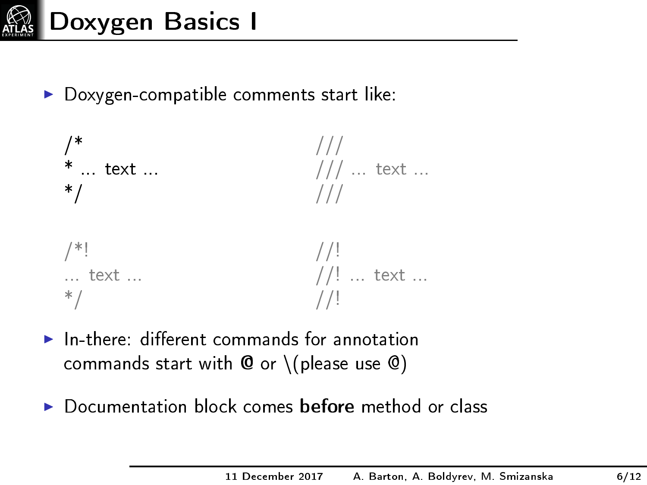

 $\triangleright$  Doxygen-compatible comments start like:



- $\blacktriangleright$  In-there: different commands for annotation commands start with  $\mathbf 0$  or  $\setminus$  (please use  $\mathbf 0$ )
- $\triangleright$  Documentation block comes before method or class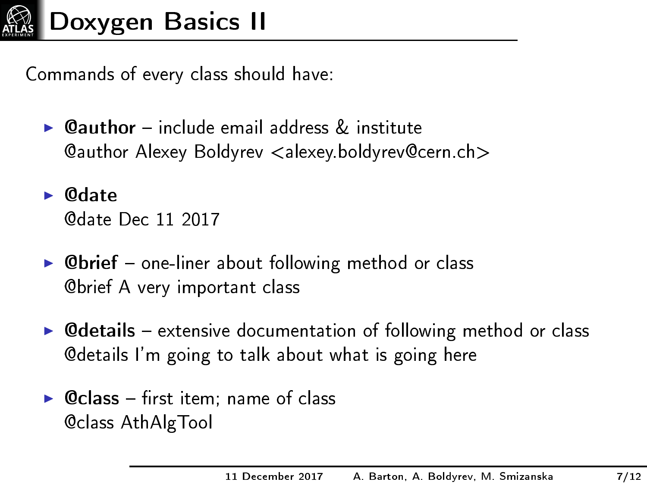

Commands of every class should have:

- $\triangleright$  **Oauthor** include email address  $\&$  institute @author Alexey Boldyrev <alexey.boldyrev@cern.ch>
- $\blacktriangleright$  @date @date Dec 11 2017
- $\triangleright$  Cbrief one-liner about following method or class @brief A very important class
- $\triangleright$  @details extensive documentation of following method or class @details I'm going to talk about what is going here
- $\triangleright$  @class first item; name of class @class AthAlgTool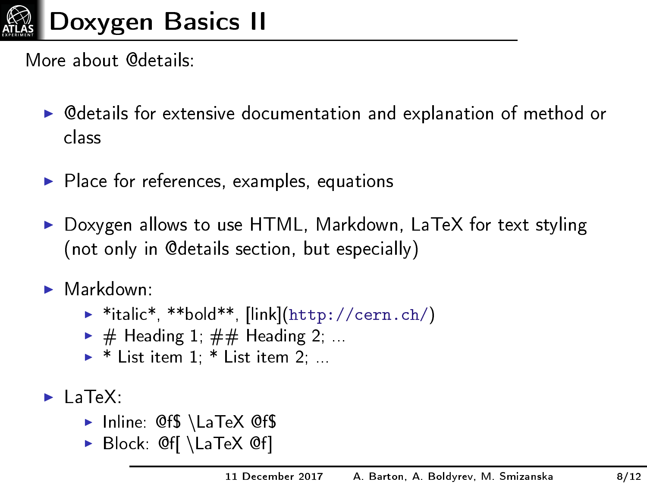

More about @details:

- $\triangleright$  @details for extensive documentation and explanation of method or class
- $\blacktriangleright$  Place for references, examples, equations
- ▶ Doxygen allows to use HTML, Markdown, LaTeX for text styling (not only in @details section, but especially)
- $\blacktriangleright$  Markdown:
	- $\triangleright$  \*italic\*, \*\*bold\*\*, [link][\(http://cern.ch/\)](http://cern.ch/)
	- $\blacktriangleright$  # Heading 1; ## Heading 2; ...
	- $\blacktriangleright$  \* List item 1; \* List item 2; ...
- $\blacktriangleright$  LaTeX:
	- Inline: @f\$ \LaTeX @f\$
	- Block: @f[ \LaTeX @f]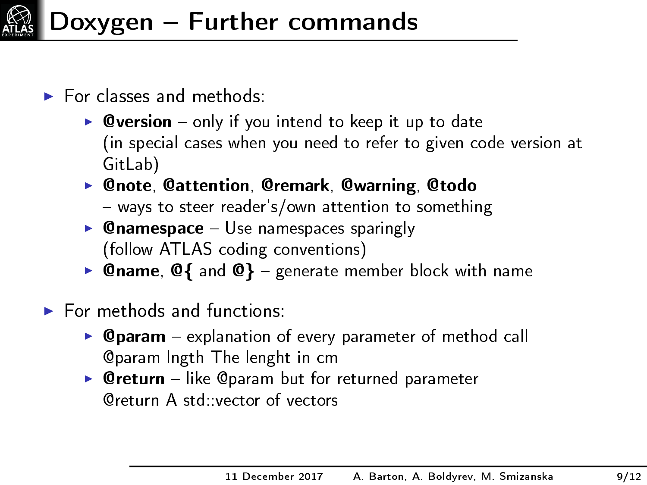

- $\blacktriangleright$  For classes and methods:
	- **Oversion** only if you intend to keep it up to date (in special cases when you need to refer to given code version at GitLab)
	- ▶ @note, @attention, @remark, @warning, @todo
		- $-$  ways to steer reader's/own attention to something
	- **Chamespace**  $-$  Use namespaces sparingly (follow ATLAS coding conventions)
	- **Qname, Q{** and  $\mathbb{Q}$ } generate member block with name
- $\blacktriangleright$  For methods and functions:
	- $\triangleright$  Oparam explanation of every parameter of method call @param lngth The lenght in cm
	- $\triangleright$  Oreturn like Oparam but for returned parameter @return A std::vector of vectors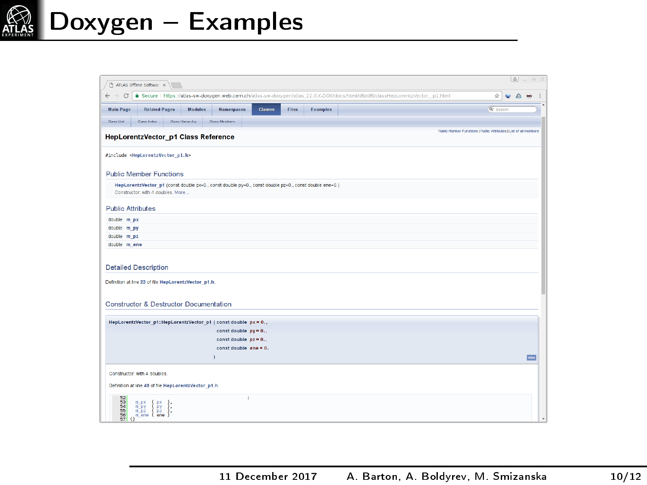

|                                                     | T ATLAS Offine Softwar x                                                                                                                    |                          |         |              |                 |                                                                                                                                |                                                                   |                             |         | $B - B$ $X$ |
|-----------------------------------------------------|---------------------------------------------------------------------------------------------------------------------------------------------|--------------------------|---------|--------------|-----------------|--------------------------------------------------------------------------------------------------------------------------------|-------------------------------------------------------------------|-----------------------------|---------|-------------|
| $\leftarrow$ $\rightarrow$<br>G<br><b>Main Page</b> | <b>Related Pages</b><br><b>Modules</b>                                                                                                      | <b>Namespaces</b>        | Classes | <b>Files</b> | <b>Examples</b> | B Secure   https://atlas-sw-dowgen.web.cem.ch/atlas-sw-doxygen/atlas_22.0.X-DOX/docs/html/d6/d8f/classHepLorentzVector p1.html |                                                                   | ÷.<br>Q <sup>-</sup> Search | $\circ$ | $\sim$      |
|                                                     |                                                                                                                                             |                          |         |              |                 |                                                                                                                                |                                                                   |                             |         |             |
| <b>Class List</b>                                   | <b>Class Index</b><br><b>Class Herarchy</b>                                                                                                 | <b>Class Mentions</b>    |         |              |                 |                                                                                                                                |                                                                   |                             |         |             |
|                                                     | <b>HepLorentzVector p1 Class Reference</b>                                                                                                  |                          |         |              |                 |                                                                                                                                | Public Member Functions   Public Attributes   List of all members |                             |         |             |
|                                                     | #include <heplorentzvector p1.h=""></heplorentzvector>                                                                                      |                          |         |              |                 |                                                                                                                                |                                                                   |                             |         |             |
|                                                     | <b>Public Member Functions</b>                                                                                                              |                          |         |              |                 |                                                                                                                                |                                                                   |                             |         |             |
|                                                     | HepLorentzVector_p1 (const double px=0., const double py=0., const double pz=0., const double ene=0.)<br>Constructor: with 4 doubles, More. |                          |         |              |                 |                                                                                                                                |                                                                   |                             |         |             |
| <b>Public Attributes</b>                            |                                                                                                                                             |                          |         |              |                 |                                                                                                                                |                                                                   |                             |         |             |
| double m px                                         |                                                                                                                                             |                          |         |              |                 |                                                                                                                                |                                                                   |                             |         |             |
| double m py                                         |                                                                                                                                             |                          |         |              |                 |                                                                                                                                |                                                                   |                             |         |             |
| double m pz                                         |                                                                                                                                             |                          |         |              |                 |                                                                                                                                |                                                                   |                             |         |             |
| double m ene                                        |                                                                                                                                             |                          |         |              |                 |                                                                                                                                |                                                                   |                             |         |             |
|                                                     | <b>Detailed Description</b><br>Definition at line 23 of file HepLorentzVector_p1.h.                                                         |                          |         |              |                 |                                                                                                                                |                                                                   |                             |         |             |
|                                                     | <b>Constructor &amp; Destructor Documentation</b>                                                                                           |                          |         |              |                 |                                                                                                                                |                                                                   |                             |         |             |
|                                                     | HepLorentzVector_p1::HepLorentzVector_p1 ( const double px = 0.,                                                                            |                          |         |              |                 |                                                                                                                                |                                                                   |                             |         |             |
|                                                     |                                                                                                                                             | const double $py = 0.$ . |         |              |                 |                                                                                                                                |                                                                   |                             |         |             |
|                                                     |                                                                                                                                             | const double $pz = 0.$ , |         |              |                 |                                                                                                                                |                                                                   |                             |         |             |
|                                                     |                                                                                                                                             | const double ene = 0.    |         |              |                 |                                                                                                                                |                                                                   |                             |         |             |
|                                                     |                                                                                                                                             |                          |         |              |                 |                                                                                                                                |                                                                   |                             |         | <b>Wine</b> |
|                                                     | Constructor, with 4 doubles.                                                                                                                |                          |         |              |                 |                                                                                                                                |                                                                   |                             |         |             |
|                                                     |                                                                                                                                             |                          |         |              |                 |                                                                                                                                |                                                                   |                             |         |             |
|                                                     | Definition at line 49 of file HepLorentzVector p1.h.                                                                                        |                          |         |              |                 |                                                                                                                                |                                                                   |                             |         |             |
| 5388888<br>œ                                        | m px<br>px<br>m py<br>PY<br>ene<br>minz<br>m ene (                                                                                          | ×                        |         |              |                 |                                                                                                                                |                                                                   |                             |         |             |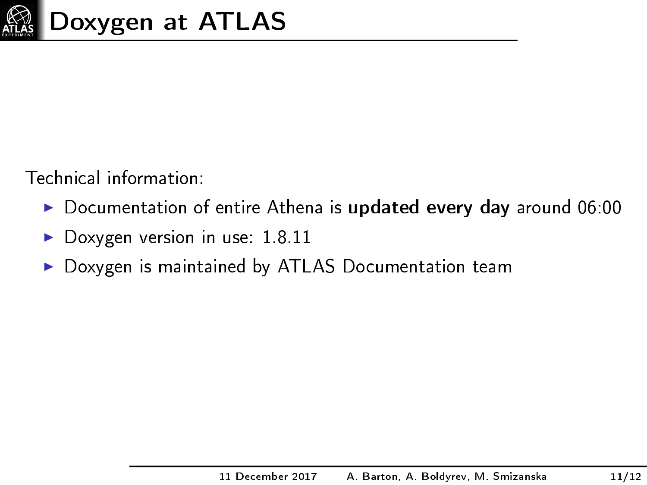

Technical information:

- $\triangleright$  Documentation of entire Athena is updated every day around 06:00
- Doxygen version in use: 1.8.11
- ▶ Doxygen is maintained by ATLAS Documentation team